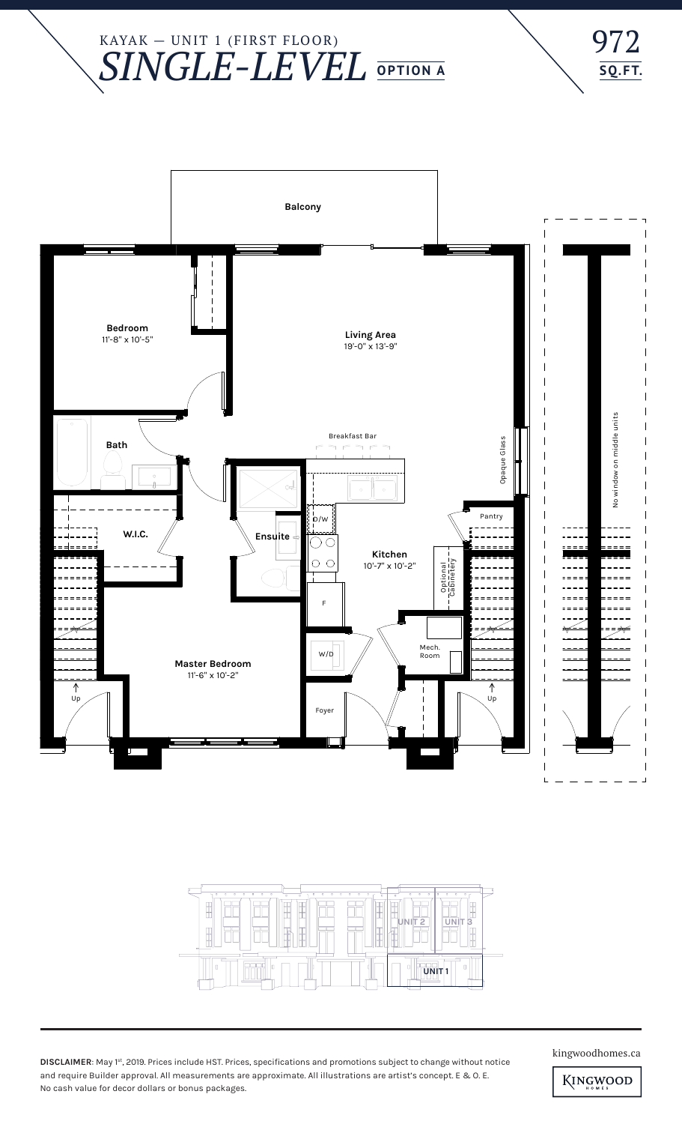KAYAK — UNIT 1 (FIRST FLOOR) *SINGLE-LEVEL* **OPTION A**







**DISCLAIMER**: May 1st, 2019. Prices include HST. Prices, specifications and promotions subject to change without notice and require Builder approval. All measurements are approximate. All illustrations are artist's concept. E & O. E. No cash value for decor dollars or bonus packages.

kingwoodhomes.ca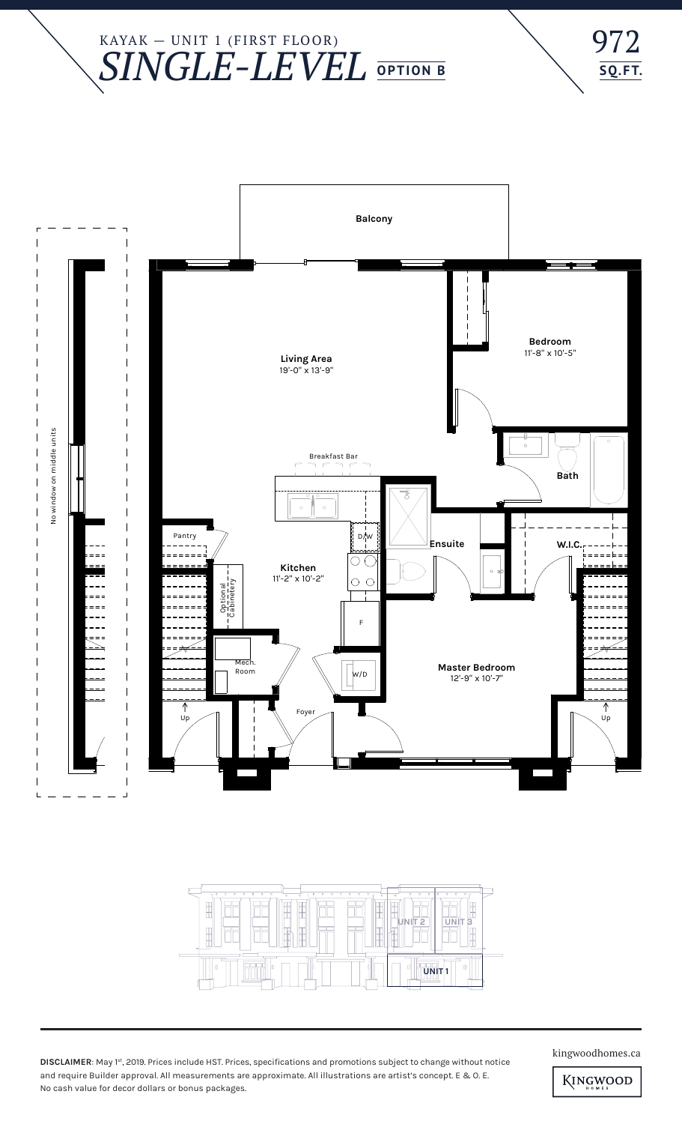## KAYAK — UNIT 1 (FIRST FLOOR) *SINGLE-LEVEL* **OPTION B**







**DISCLAIMER**: May 1st, 2019. Prices include HST. Prices, specifications and promotions subject to change without notice and require Builder approval. All measurements are approximate. All illustrations are artist's concept. E & O. E. No cash value for decor dollars or bonus packages.

kingwoodhomes.ca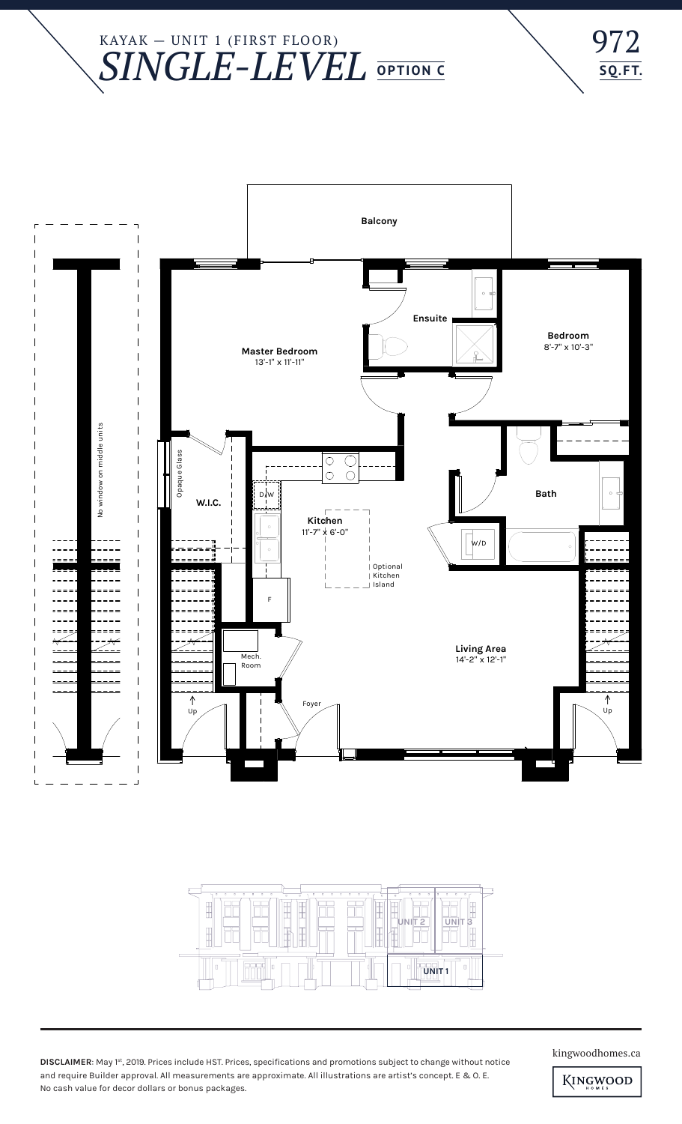## KAYAK — UNIT 1 (FIRST FLOOR) *SINGLE-LEVEL* **OPTION C**







**DISCLAIMER**: May 1st, 2019. Prices include HST. Prices, specifications and promotions subject to change without notice and require Builder approval. All measurements are approximate. All illustrations are artist's concept. E & O. E. No cash value for decor dollars or bonus packages.

kingwoodhomes.ca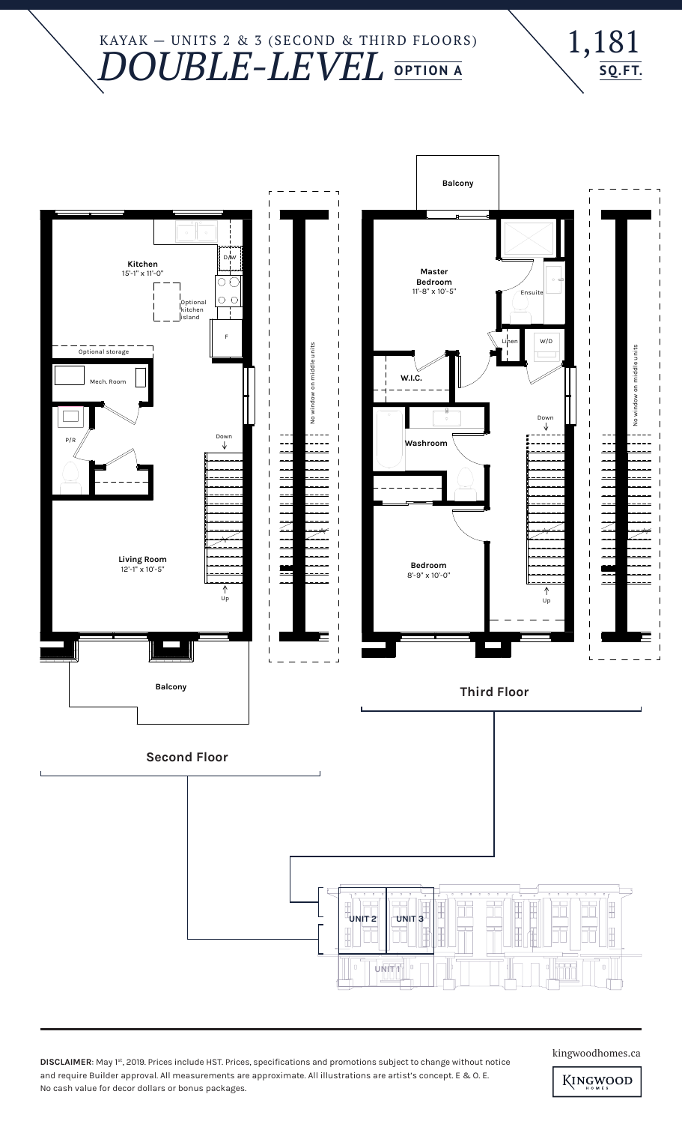#### KAYAK — UNITS 2 & 3 (SECOND & THIRD FLOORS) *DOUBLE-LEVEL* **OPTION A**





**DISCLAIMER**: May 1st, 2019. Prices include HST. Prices, specifications and promotions subject to change without notice and require Builder approval. All measurements are approximate. All illustrations are artist's concept. E & O. E. No cash value for decor dollars or bonus packages.

kingwoodhomes.ca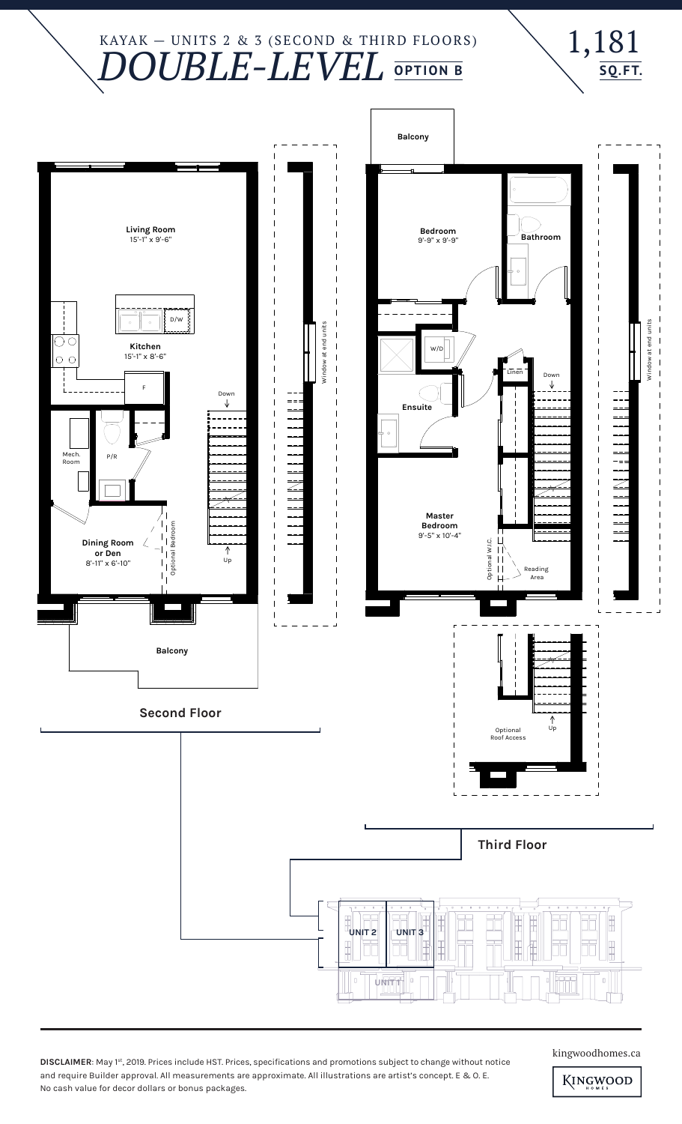### KAYAK — UNITS 2 & 3 (SECOND & THIRD FLOORS) *DOUBLE-LEVEL* **OPTION B**





**DISCLAIMER**: May 1st, 2019. Prices include HST. Prices, specifications and promotions subject to change without notice and require Builder approval. All measurements are approximate. All illustrations are artist's concept. E & O. E. No cash value for decor dollars or bonus packages.

kingwoodhomes.ca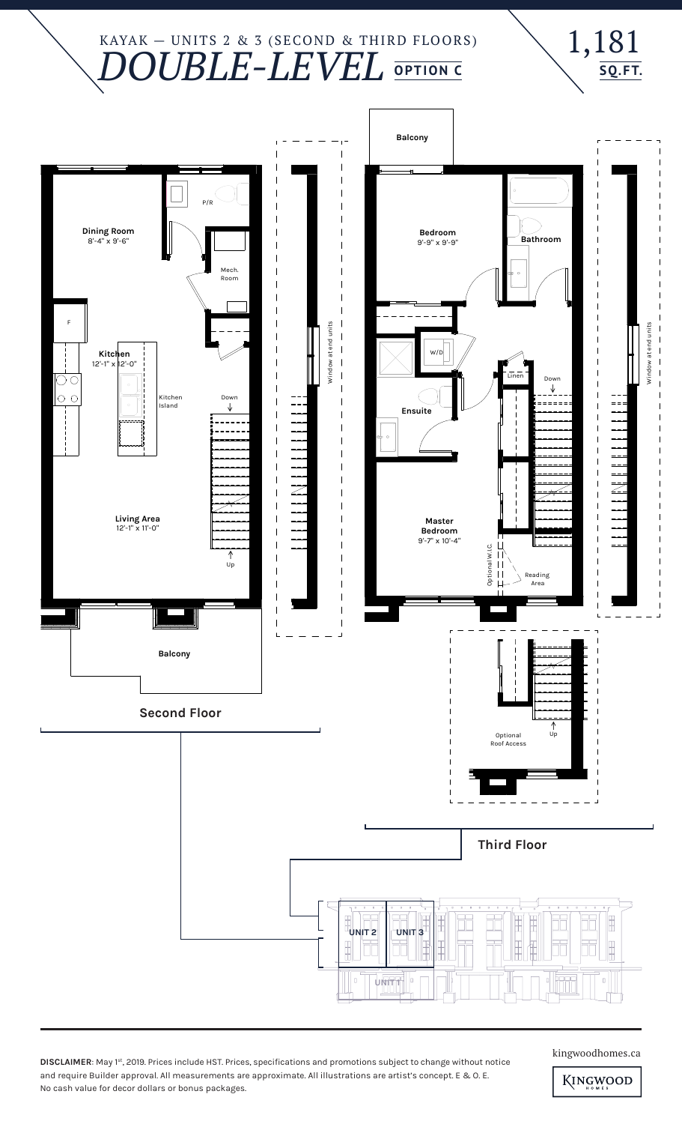#### KAYAK — UNITS 2 & 3 (SECOND & THIRD FLOORS) *DOUBLE-LEVEL* **OPTION C**



**DISCLAIMER**: May 1st, 2019. Prices include HST. Prices, specifications and promotions subject to change without notice and require Builder approval. All measurements are approximate. All illustrations are artist's concept. E & O. E. No cash value for decor dollars or bonus packages.

kingwoodhomes.ca

1,181

**SQ.FT.**

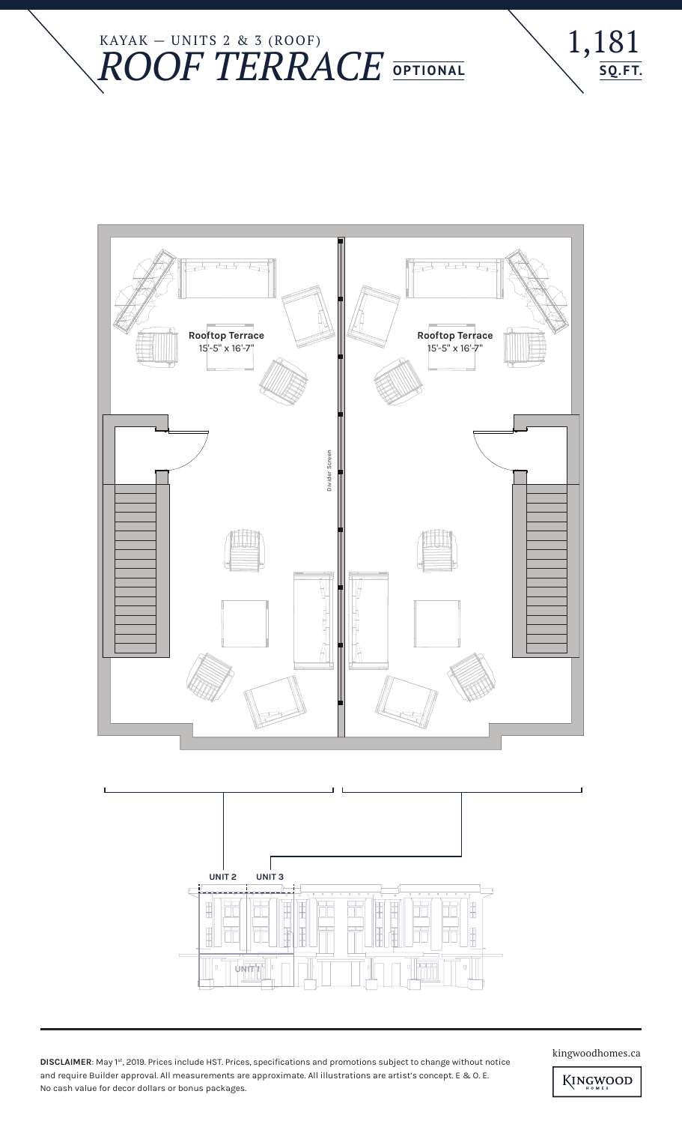







**DISCLAIMER**: May 1st, 2019. Prices include HST. Prices, specifications and promotions subject to change without notice and require Builder approval. All measurements are approximate. All illustrations are artist's concept. E & O. E. No cash value for decor dollars or bonus packages.

kingwoodhomes.ca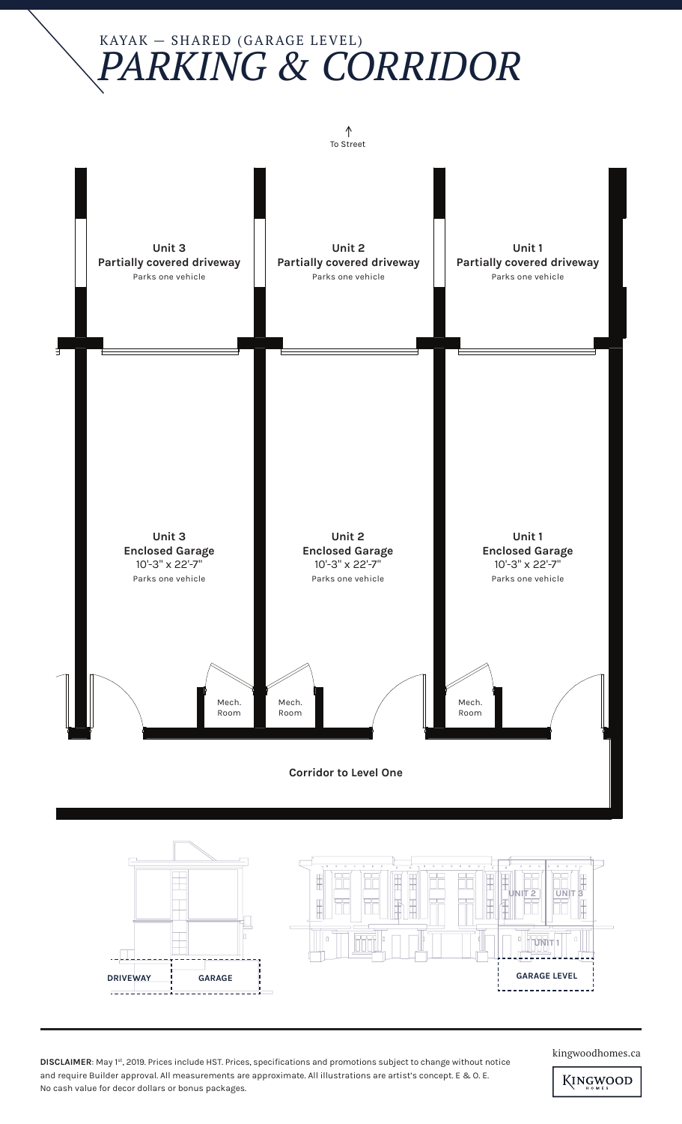# KAYAK — SHARED (GARAGE LEVEL) *PARKING & CORRIDOR*





**DISCLAIMER:** May 1st, 2019. Prices include HST. Prices, specifications and promotions subject to change without notice and require Builder approval. All measurements are approximate. All illustrations are artist's concept. E & O. E. No cash value for decor dollars or bonus packages.

kingwoodhomes.ca